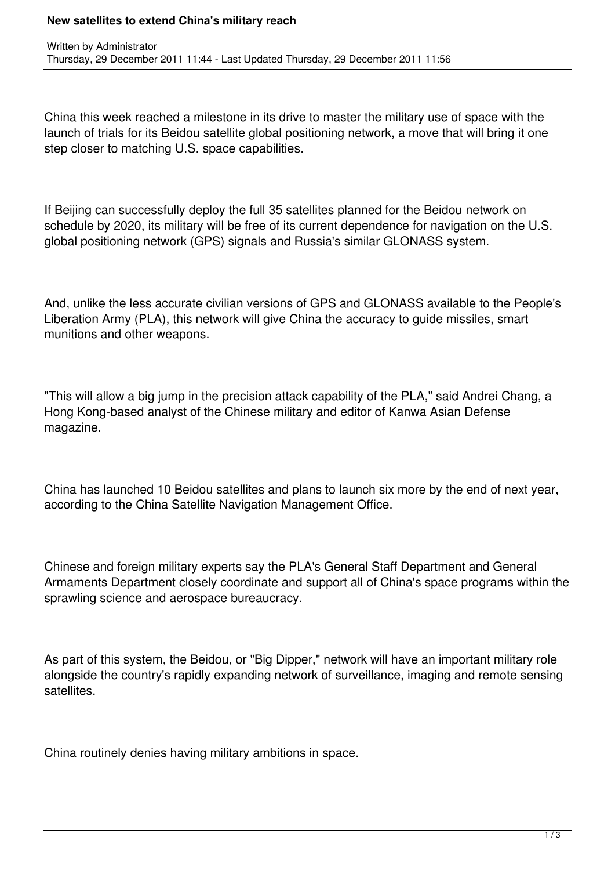## **New satellites to extend China's military reach**

China this week reached a milestone in its drive to master the military use of space with the launch of trials for its Beidou satellite global positioning network, a move that will bring it one step closer to matching U.S. space capabilities.

If Beijing can successfully deploy the full 35 satellites planned for the Beidou network on schedule by 2020, its military will be free of its current dependence for navigation on the U.S. global positioning network (GPS) signals and Russia's similar GLONASS system.

And, unlike the less accurate civilian versions of GPS and GLONASS available to the People's Liberation Army (PLA), this network will give China the accuracy to guide missiles, smart munitions and other weapons.

"This will allow a big jump in the precision attack capability of the PLA," said Andrei Chang, a Hong Kong-based analyst of the Chinese military and editor of Kanwa Asian Defense magazine.

China has launched 10 Beidou satellites and plans to launch six more by the end of next year, according to the China Satellite Navigation Management Office.

Chinese and foreign military experts say the PLA's General Staff Department and General Armaments Department closely coordinate and support all of China's space programs within the sprawling science and aerospace bureaucracy.

As part of this system, the Beidou, or "Big Dipper," network will have an important military role alongside the country's rapidly expanding network of surveillance, imaging and remote sensing satellites.

China routinely denies having military ambitions in space.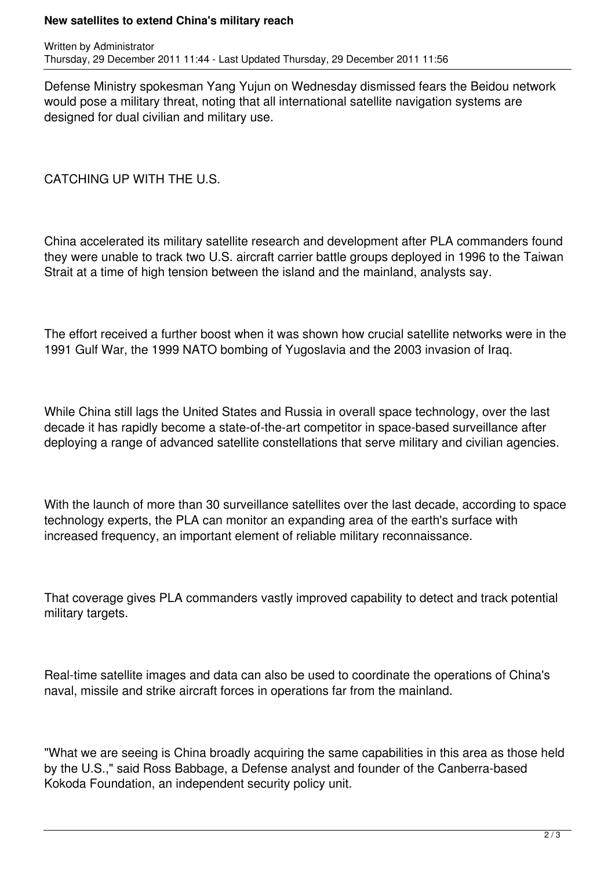## **New satellites to extend China's military reach**

Defense Ministry spokesman Yang Yujun on Wednesday dismissed fears the Beidou network would pose a military threat, noting that all international satellite navigation systems are designed for dual civilian and military use.

CATCHING UP WITH THE U.S.

China accelerated its military satellite research and development after PLA commanders found they were unable to track two U.S. aircraft carrier battle groups deployed in 1996 to the Taiwan Strait at a time of high tension between the island and the mainland, analysts say.

The effort received a further boost when it was shown how crucial satellite networks were in the 1991 Gulf War, the 1999 NATO bombing of Yugoslavia and the 2003 invasion of Iraq.

While China still lags the United States and Russia in overall space technology, over the last decade it has rapidly become a state-of-the-art competitor in space-based surveillance after deploying a range of advanced satellite constellations that serve military and civilian agencies.

With the launch of more than 30 surveillance satellites over the last decade, according to space technology experts, the PLA can monitor an expanding area of the earth's surface with increased frequency, an important element of reliable military reconnaissance.

That coverage gives PLA commanders vastly improved capability to detect and track potential military targets.

Real-time satellite images and data can also be used to coordinate the operations of China's naval, missile and strike aircraft forces in operations far from the mainland.

"What we are seeing is China broadly acquiring the same capabilities in this area as those held by the U.S.," said Ross Babbage, a Defense analyst and founder of the Canberra-based Kokoda Foundation, an independent security policy unit.